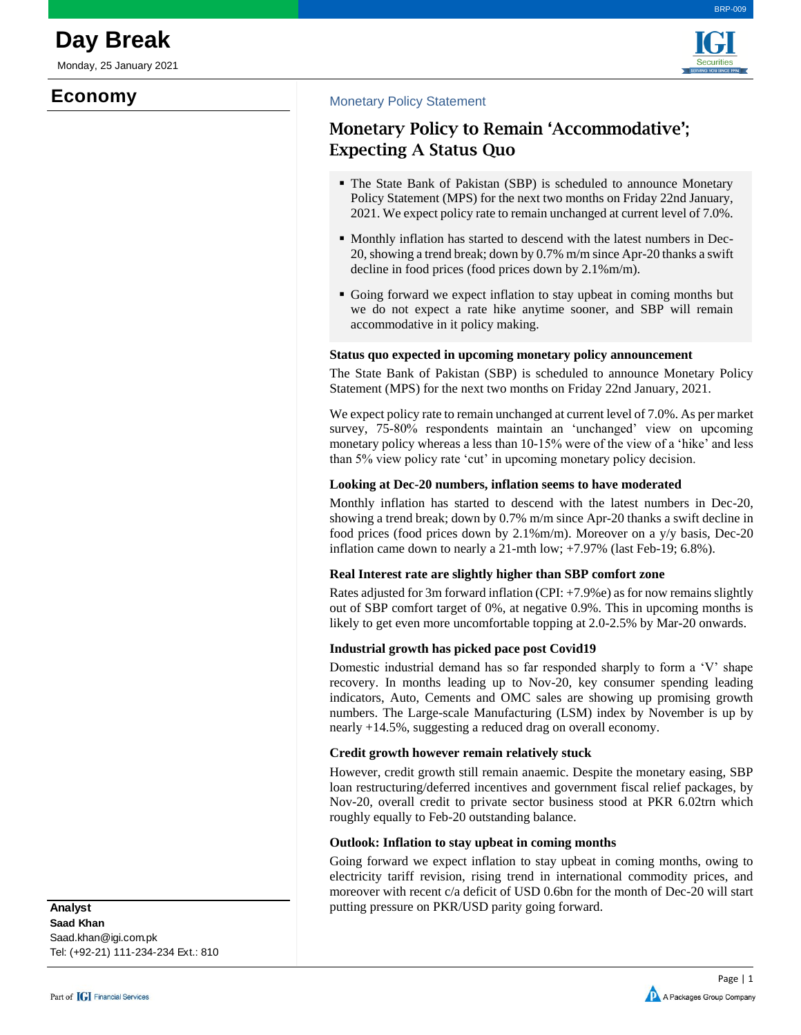Monday, 25 January 2021

# **Economy**





## Monetary Policy Statement

## **Monetary Policy to Remain 'Accommodative'; Expecting A Status Quo**

- The State Bank of Pakistan (SBP) is scheduled to announce Monetary Policy Statement (MPS) for the next two months on Friday 22nd January, 2021. We expect policy rate to remain unchanged at current level of 7.0%.
- Monthly inflation has started to descend with the latest numbers in Dec-20, showing a trend break; down by 0.7% m/m since Apr-20 thanks a swift decline in food prices (food prices down by 2.1%m/m).
- Going forward we expect inflation to stay upbeat in coming months but we do not expect a rate hike anytime sooner, and SBP will remain accommodative in it policy making.

#### **Status quo expected in upcoming monetary policy announcement**

The State Bank of Pakistan (SBP) is scheduled to announce Monetary Policy Statement (MPS) for the next two months on Friday 22nd January, 2021.

We expect policy rate to remain unchanged at current level of 7.0%. As per market survey, 75-80% respondents maintain an 'unchanged' view on upcoming monetary policy whereas a less than 10-15% were of the view of a 'hike' and less than 5% view policy rate 'cut' in upcoming monetary policy decision.

#### **Looking at Dec-20 numbers, inflation seems to have moderated**

Monthly inflation has started to descend with the latest numbers in Dec-20, showing a trend break; down by 0.7% m/m since Apr-20 thanks a swift decline in food prices (food prices down by 2.1%m/m). Moreover on a y/y basis, Dec-20 inflation came down to nearly a 21-mth low; +7.97% (last Feb-19; 6.8%).

#### **Real Interest rate are slightly higher than SBP comfort zone**

Rates adjusted for 3m forward inflation (CPI: +7.9%e) as for now remains slightly out of SBP comfort target of 0%, at negative 0.9%. This in upcoming months is likely to get even more uncomfortable topping at 2.0-2.5% by Mar-20 onwards.

### **Industrial growth has picked pace post Covid19**

Domestic industrial demand has so far responded sharply to form a 'V' shape recovery. In months leading up to Nov-20, key consumer spending leading indicators, Auto, Cements and OMC sales are showing up promising growth numbers. The Large-scale Manufacturing (LSM) index by November is up by nearly +14.5%, suggesting a reduced drag on overall economy.

#### **Credit growth however remain relatively stuck**

However, credit growth still remain anaemic. Despite the monetary easing, SBP loan restructuring/deferred incentives and government fiscal relief packages, by Nov-20, overall credit to private sector business stood at PKR 6.02trn which roughly equally to Feb-20 outstanding balance.

#### **Outlook: Inflation to stay upbeat in coming months**

Going forward we expect inflation to stay upbeat in coming months, owing to electricity tariff revision, rising trend in international commodity prices, and moreover with recent c/a deficit of USD 0.6bn for the month of Dec-20 will start putting pressure on PKR/USD parity going forward.

**Saad Khan** Saad.khan@igi.com.pk Tel: (+92-21) 111-234-234 Ext.: 810 **Analyst**

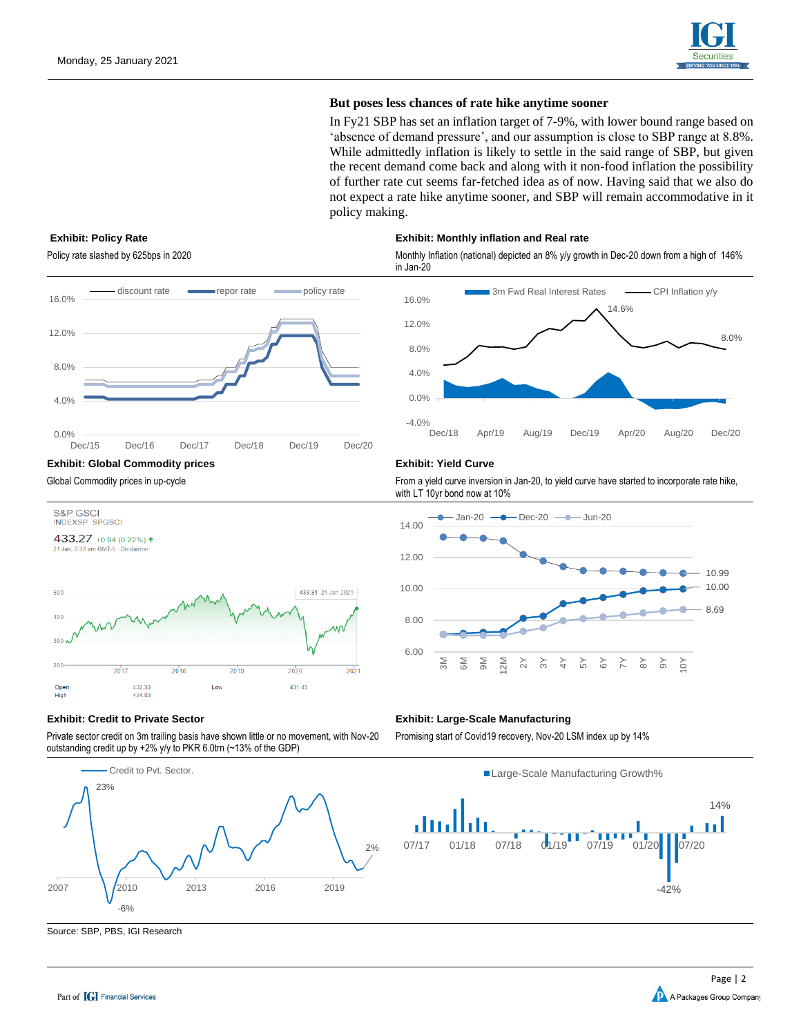

#### **But poses less chances of rate hike anytime sooner**

In Fy21 SBP has set an inflation target of 7-9%, with lower bound range based on 'absence of demand pressure', and our assumption is close to SBP range at 8.8%. While admittedly inflation is likely to settle in the said range of SBP, but given the recent demand come back and along with it non-food inflation the possibility of further rate cut seems far-fetched idea as of now. Having said that we also do not expect a rate hike anytime sooner, and SBP will remain accommodative in it policy making.

#### **Exhibit: Policy Rate Exhibit: Monthly inflation and Real rate**

Policy rate slashed by 625bps in 2020 monthly Inflation (national) depicted an 8% y/y growth in Dec-20 down from a high of 146% in Jan-20



433.31 21 Jan 2021

2020

431.45

2021

S&P GSCI **INDEXSP: SPGSCI** 433.27 +0.94 (0.22%) + 21 Jan, 2:33 am GMT-5 · Discla

500

 $\Delta$ 00 300 200

> Oper High

Global Commodity prices in up-cycle **From a yield curve inversion in Jan-20**, to yield curve have started to incorporate rate hike, with LT 10yr bond now at 10%



#### **Exhibit: Credit to Private Sector Exhibit: Large-Scale Manufacturing**

432.33

434.83

2017

Private sector credit on 3m trailing basis have shown little or no movement, with Nov-20 outstanding credit up by +2% y/y to PKR 6.0trn (~13% of the GDP)

2019

2018



Promising start of Covid19 recovery, Nov-20 LSM index up by 14%





Source: SBP, PBS, IGI Research